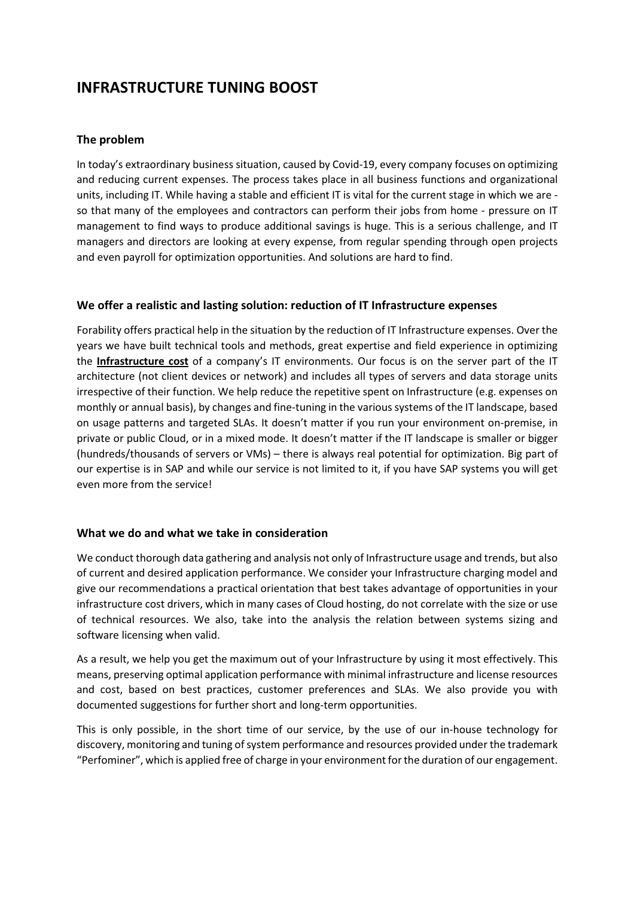# INFRASTRUCTURE TUNING BOOST

## The problem

In today's extraordinary business situation, caused by Covid-19, every company focuses on optimizing and reducing current expenses. The process takes place in all business functions and organizational units, including IT. While having a stable and efficient IT is vital for the current stage in which we are so that many of the employees and contractors can perform their jobs from home - pressure on IT management to find ways to produce additional savings is huge. This is a serious challenge, and IT managers and directors are looking at every expense, from regular spending through open projects and even payroll for optimization opportunities. And solutions are hard to find.

## We offer a realistic and lasting solution: reduction of IT Infrastructure expenses

Forability offers practical help in the situation by the reduction of IT Infrastructure expenses. Over the years we have built technical tools and methods, great expertise and field experience in optimizing the Infrastructure cost of a company's IT environments. Our focus is on the server part of the IT architecture (not client devices or network) and includes all types of servers and data storage units irrespective of their function. We help reduce the repetitive spent on Infrastructure (e.g. expenses on monthly or annual basis), by changes and fine-tuning in the various systems of the IT landscape, based on usage patterns and targeted SLAs. It doesn't matter if you run your environment on-premise, in private or public Cloud, or in a mixed mode. It doesn't matter if the IT landscape is smaller or bigger (hundreds/thousands of servers or VMs) – there is always real potential for optimization. Big part of our expertise is in SAP and while our service is not limited to it, if you have SAP systems you will get even more from the service!

## What we do and what we take in consideration

We conduct thorough data gathering and analysis not only of Infrastructure usage and trends, but also of current and desired application performance. We consider your Infrastructure charging model and give our recommendations a practical orientation that best takes advantage of opportunities in your infrastructure cost drivers, which in many cases of Cloud hosting, do not correlate with the size or use of technical resources. We also, take into the analysis the relation between systems sizing and software licensing when valid.

As a result, we help you get the maximum out of your Infrastructure by using it most effectively. This means, preserving optimal application performance with minimal infrastructure and license resources and cost, based on best practices, customer preferences and SLAs. We also provide you with documented suggestions for further short and long-term opportunities.

This is only possible, in the short time of our service, by the use of our in-house technology for discovery, monitoring and tuning of system performance and resources provided under the trademark "Perfominer", which is applied free of charge in your environment for the duration of our engagement.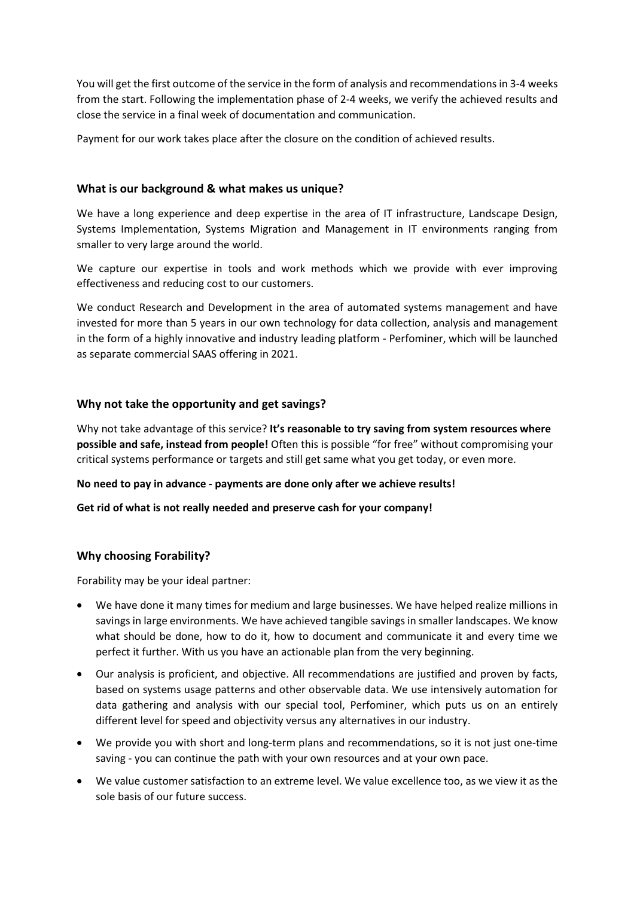You will get the first outcome of the service in the form of analysis and recommendations in 3-4 weeks from the start. Following the implementation phase of 2-4 weeks, we verify the achieved results and close the service in a final week of documentation and communication.

Payment for our work takes place after the closure on the condition of achieved results.

## What is our background & what makes us unique?

We have a long experience and deep expertise in the area of IT infrastructure, Landscape Design, Systems Implementation, Systems Migration and Management in IT environments ranging from smaller to very large around the world.

We capture our expertise in tools and work methods which we provide with ever improving effectiveness and reducing cost to our customers.

We conduct Research and Development in the area of automated systems management and have invested for more than 5 years in our own technology for data collection, analysis and management in the form of a highly innovative and industry leading platform - Perfominer, which will be launched as separate commercial SAAS offering in 2021.

## Why not take the opportunity and get savings?

Why not take advantage of this service? It's reasonable to try saving from system resources where possible and safe, instead from people! Often this is possible "for free" without compromising your critical systems performance or targets and still get same what you get today, or even more.

## No need to pay in advance - payments are done only after we achieve results!

## Get rid of what is not really needed and preserve cash for your company!

## Why choosing Forability?

Forability may be your ideal partner:

- We have done it many times for medium and large businesses. We have helped realize millions in savings in large environments. We have achieved tangible savings in smaller landscapes. We know what should be done, how to do it, how to document and communicate it and every time we perfect it further. With us you have an actionable plan from the very beginning.
- Our analysis is proficient, and objective. All recommendations are justified and proven by facts, based on systems usage patterns and other observable data. We use intensively automation for data gathering and analysis with our special tool, Perfominer, which puts us on an entirely different level for speed and objectivity versus any alternatives in our industry.
- We provide you with short and long-term plans and recommendations, so it is not just one-time saving - you can continue the path with your own resources and at your own pace.
- We value customer satisfaction to an extreme level. We value excellence too, as we view it as the sole basis of our future success.